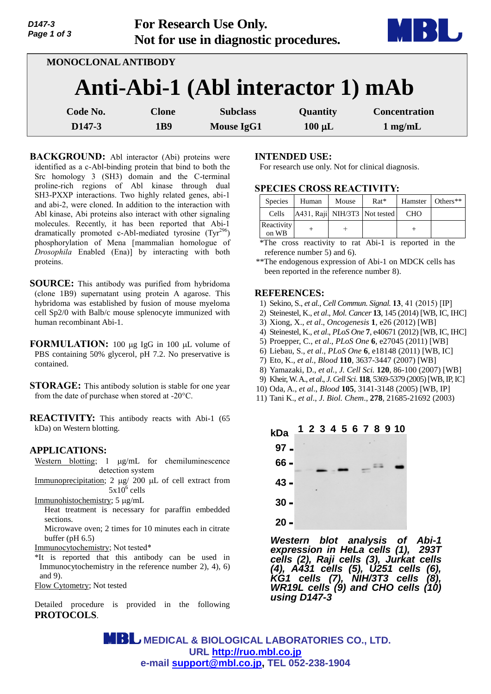| D147-3<br>Page 1 of 3 | For Research Use Only.<br>Not for use in diagnostic procedures. |                                   |             |                      |
|-----------------------|-----------------------------------------------------------------|-----------------------------------|-------------|----------------------|
|                       | <b>MONOCLONAL ANTIBODY</b>                                      |                                   |             |                      |
|                       |                                                                 | Anti-Abi-1 (Abl interactor 1) mAb |             |                      |
| Code No.              | <b>Clone</b>                                                    | <b>Subclass</b>                   | Quantity    | <b>Concentration</b> |
| D <sub>147</sub> -3   | 1B9                                                             | <b>Mouse IgG1</b>                 | $100 \mu L$ | $1$ mg/mL            |

**BACKGROUND:** Abl interactor (Abi) proteins were identified as a c-Abl-binding protein that bind to both the Src homology 3 (SH3) domain and the C-terminal proline-rich regions of Abl kinase through dual SH3-PXXP interactions. Two highly related genes, abi-1 and abi-2, were cloned. In addition to the interaction with Abl kinase, Abi proteins also interact with other signaling molecules. Recently, it has been reported that Abi-1 dramatically promoted c-Abl-mediated tyrosine  $(Tyr^{296})$ phosphorylation of Mena [mammalian homologue of *Drosophila* Enabled (Ena)] by interacting with both proteins.

**SOURCE:** This antibody was purified from hybridoma (clone 1B9) supernatant using protein A agarose. This hybridoma was established by fusion of mouse myeloma cell Sp2/0 with Balb/c mouse splenocyte immunized with human recombinant Abi-1.

**FORMULATION:** 100 µg IgG in 100 µL volume of PBS containing 50% glycerol, pH 7.2. No preservative is contained.

**STORAGE:** This antibody solution is stable for one year from the date of purchase when stored at -20°C.

**REACTIVITY:** This antibody reacts with Abi-1 (65 kDa) on Western blotting.

## **APPLICATIONS:**

Western blotting;  $1 \mu g/mL$  for chemiluminescence detection system

Immunoprecipitation;  $2 \mu g / 200 \mu L$  of cell extract from  $5x10^6$  cells

Immunohistochemistry; 5 µg/mL

Heat treatment is necessary for paraffin embedded sections.

Microwave oven; 2 times for 10 minutes each in citrate buffer (pH 6.5)

Immunocytochemistry; Not tested\*

\*It is reported that this antibody can be used in Immunocytochemistry in the reference number 2), 4), 6) and 9).

Flow Cytometry; Not tested

Detailed procedure is provided in the following **PROTOCOLS**.

### **INTENDED USE:**

For research use only. Not for clinical diagnosis.

## **SPECIES CROSS REACTIVITY:**

| <b>Species</b>      | Human                         | Mouse | $Rat*$ | Hamster    | $\blacksquare$ Others** |
|---------------------|-------------------------------|-------|--------|------------|-------------------------|
| Cells               | A431, Raji NIH/3T3 Not tested |       |        | <b>CHO</b> |                         |
| Reactivity<br>on WB |                               |       |        |            |                         |

\*The cross reactivity to rat Abi-1 is reported in the reference number 5) and 6).

\*\*The endogenous expression of Abi-1 on MDCK cells has been reported in the reference number 8).

### **REFERENCES:**

- 1) Sekino, S., *et al.*, *Cell Commun. Signal.* **13**, 41 (2015) [IP]
- 2) Steinestel, K., *et al*., *Mol. Cancer* **13**, 145 (2014) [WB, IC, IHC]
- 3) Xiong, X., *et al*., *Oncogenesis* **1**, e26 (2012) [WB]
- 4) Steinestel, K., *et al*., *PLoS One* **7**, e40671 (2012) [WB, IC, IHC]
- 5) Proepper, C., *et al*., *PLoS One* **6**, e27045 (2011) [WB]
- 6) Liebau, S., *et al*., *PLoS One* **6**, e18148 (2011) [WB, IC]
- 7) Eto, K., *et al., Blood* **110**, 3637-3447 (2007) [WB]
- 8) Yamazaki, D., *et al., J. Cell Sci.* **120**, 86-100 (2007) [WB]
- 9) Kheir,W. A., *et al*., *J. Cell Sci*. **118**, 5369-5379 (2005) [WB, IP, IC]
- 10) Oda, A., *et al*., *Blood* **105**, 3141-3148 (2005) [WB, IP]
- 11) Tani K., *et al*., *J. Biol. Chem*., **278**, 21685-21692 (2003)



*Western blot analysis of Abi-1 expression in HeLa cells (1), 293T cells (2), Raji cells (3), Jurkat cells (4), A431 cells (5), U251 cells (6), KG1 cells (7), NIH/3T3 cells (8), WR19L cells (9) and CHO cells (10) using D147-3*

 **MEDICAL & BIOLOGICAL LABORATORIES CO., LTD. URL [http://ruo.mbl.co.jp](http://ruo.mbl.co.jp/) e-mail [support@mbl.co.jp,](mailto:support@mbl.co.jp) TEL 052-238-1904**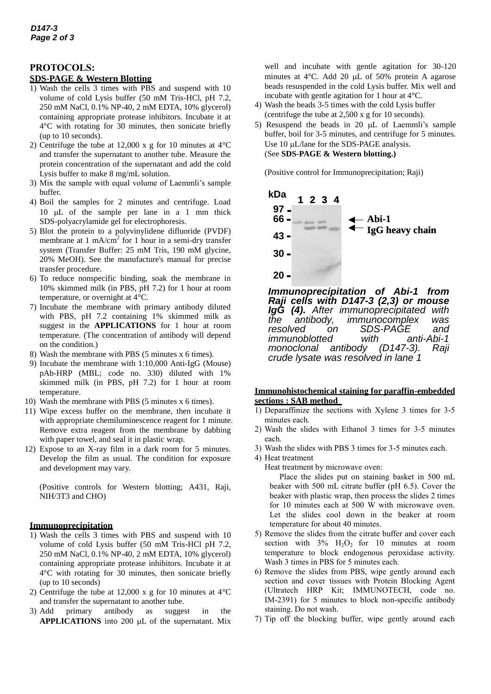# **PROTOCOLS:**

### **SDS-PAGE & Western Blotting**

- 1) Wash the cells 3 times with PBS and suspend with 10 volume of cold Lysis buffer (50 mM Tris-HCl, pH 7.2, 250 mM NaCl, 0.1% NP-40, 2 mM EDTA, 10% glycerol) containing appropriate protease inhibitors. Incubate it at 4°C with rotating for 30 minutes, then sonicate briefly (up to 10 seconds).
- 2) Centrifuge the tube at 12,000 x g for 10 minutes at  $4^{\circ}$ C and transfer the supernatant to another tube. Measure the protein concentration of the supernatant and add the cold Lysis buffer to make 8 mg/mL solution.
- 3) Mix the sample with equal volume of Laemmli's sample buffer.
- 4) Boil the samples for 2 minutes and centrifuge. Load 10  $\mu$ L of the sample per lane in a 1 mm thick SDS-polyacrylamide gel for electrophoresis.
- 5) Blot the protein to a polyvinylidene difluoride (PVDF) membrane at 1 mA/cm<sup>2</sup> for 1 hour in a semi-dry transfer system (Transfer Buffer: 25 mM Tris, 190 mM glycine, 20% MeOH). See the manufacture's manual for precise transfer procedure.
- 6) To reduce nonspecific binding, soak the membrane in 10% skimmed milk (in PBS, pH 7.2) for 1 hour at room temperature, or overnight at 4°C.
- 7) Incubate the membrane with primary antibody diluted with PBS, pH 7.2 containing 1% skimmed milk as suggest in the **APPLICATIONS** for 1 hour at room temperature. (The concentration of antibody will depend on the condition.)
- 8) Wash the membrane with PBS (5 minutes x 6 times).
- 9) Incubate the membrane with 1:10,000 Anti-IgG (Mouse) pAb-HRP (MBL; code no. 330) diluted with 1% skimmed milk (in PBS, pH 7.2) for 1 hour at room temperature.
- 10) Wash the membrane with PBS (5 minutes x 6 times).
- 11) Wipe excess buffer on the membrane, then incubate it with appropriate chemiluminescence reagent for 1 minute. Remove extra reagent from the membrane by dabbing with paper towel, and seal it in plastic wrap.
- 12) Expose to an X-ray film in a dark room for 5 minutes. Develop the film as usual. The condition for exposure and development may vary.

(Positive controls for Western blotting; A431, Raji, NIH/3T3 and CHO)

## **Immunoprecipitation**

- 1) Wash the cells 3 times with PBS and suspend with 10 volume of cold Lysis buffer (50 mM Tris-HCl pH 7.2, 250 mM NaCl, 0.1% NP-40, 2 mM EDTA, 10% glycerol) containing appropriate protease inhibitors. Incubate it at 4°C with rotating for 30 minutes, then sonicate briefly (up to 10 seconds)
- 2) Centrifuge the tube at 12,000 x g for 10 minutes at  $4^{\circ}$ C and transfer the supernatant to another tube.
- 3) Add primary antibody as suggest in the **APPLICATIONS** into 200 µL of the supernatant. Mix

well and incubate with gentle agitation for 30-120 minutes at  $4^{\circ}$ C. Add 20 µL of 50% protein A agarose beads resuspended in the cold Lysis buffer. Mix well and incubate with gentle agitation for 1 hour at 4°C.

- 4) Wash the beads 3-5 times with the cold Lysis buffer (centrifuge the tube at 2,500 x g for 10 seconds).
- 5) Resuspend the beads in 20  $\mu$ L of Laemmli's sample buffer, boil for 3-5 minutes, and centrifuge for 5 minutes. Use 10 µL/lane for the SDS-PAGE analysis. (See **SDS-PAGE & Western blotting.)**

(Positive control for Immunoprecipitation; Raji)



*Immunoprecipitation of Abi-1 from Raji cells with D147-3 (2,3) or mouse IgG (4). After immunoprecipitated with the antibody, immunocomplex was fon SDS-PAGE and*<br>ed with anti-Abi-1 *immunoblotted* with anti-<br>monoclonal antibody (D147-3). *monoclonal antibody (D147-3). Raji crude lysate was resolved in lane 1*

### **Immunohistochemical staining for paraffin-embedded sections : SAB method**

- 1) Deparaffinize the sections with Xylene 3 times for 3-5 minutes each.
- 2) Wash the slides with Ethanol 3 times for 3-5 minutes each.
- 3) Wash the slides with PBS 3 times for 3-5 minutes each.
- 4) Heat treatment
	- Heat treatment by microwave oven:

Place the slides put on staining basket in 500 mL beaker with 500 mL citrate buffer (pH 6.5). Cover the beaker with plastic wrap, then process the slides 2 times for 10 minutes each at 500 W with microwave oven. Let the slides cool down in the beaker at room temperature for about 40 minutes.

- 5) Remove the slides from the citrate buffer and cover each section with  $3\%$  H<sub>2</sub>O<sub>2</sub> for 10 minutes at room temperature to block endogenous peroxidase activity. Wash 3 times in PBS for 5 minutes each.
- 6) Remove the slides from PBS, wipe gently around each section and cover tissues with Protein Blocking Agent (Ultratech HRP Kit; IMMUNOTECH, code no. IM-2391) for 5 minutes to block non-specific antibody staining. Do not wash.
- 7) Tip off the blocking buffer, wipe gently around each